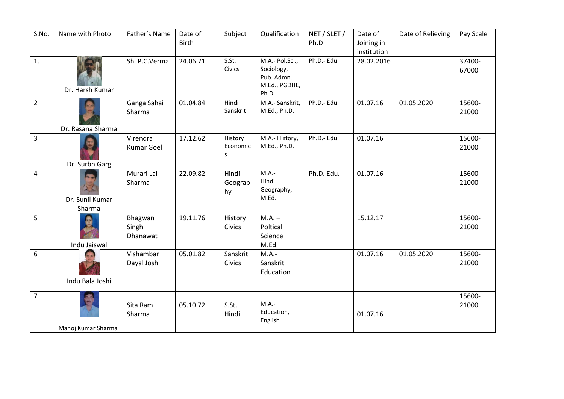| S.No.          | Name with Photo           | Father's Name                 | Date of<br><b>Birth</b> | Subject                  | Qualification                                                         | NET / SLET /<br>Ph.D | Date of<br>Joining in<br>institution | Date of Relieving | Pay Scale       |
|----------------|---------------------------|-------------------------------|-------------------------|--------------------------|-----------------------------------------------------------------------|----------------------|--------------------------------------|-------------------|-----------------|
| 1.             | Dr. Harsh Kumar           | Sh. P.C.Verma                 | 24.06.71                | S.St.<br>Civics          | M.A.- Pol.Sci.,<br>Sociology,<br>Pub. Admn.<br>M.Ed., PGDHE,<br>Ph.D. | Ph.D.- Edu.          | 28.02.2016                           |                   | 37400-<br>67000 |
| $\overline{2}$ | Dr. Rasana Sharma         | Ganga Sahai<br>Sharma         | 01.04.84                | Hindi<br>Sanskrit        | M.A.- Sanskrit,<br>M.Ed., Ph.D.                                       | Ph.D.- Edu.          | 01.07.16                             | 01.05.2020        | 15600-<br>21000 |
| $\overline{3}$ | Dr. Surbh Garg            | Virendra<br><b>Kumar Goel</b> | 17.12.62                | History<br>Economic<br>S | M.A.- History,<br>M.Ed., Ph.D.                                        | Ph.D.- Edu.          | 01.07.16                             |                   | 15600-<br>21000 |
| $\overline{4}$ | Dr. Sunil Kumar<br>Sharma | Murari Lal<br>Sharma          | 22.09.82                | Hindi<br>Geograp<br>hy   | $M.A.-$<br>Hindi<br>Geography,<br>M.Ed.                               | Ph.D. Edu.           | 01.07.16                             |                   | 15600-<br>21000 |
| 5              | Indu Jaiswal              | Bhagwan<br>Singh<br>Dhanawat  | 19.11.76                | History<br>Civics        | $M.A. -$<br>Poltical<br>Science<br>M.Ed.                              |                      | 15.12.17                             |                   | 15600-<br>21000 |
| 6              | Indu Bala Joshi           | Vishambar<br>Dayal Joshi      | 05.01.82                | Sanskrit<br>Civics       | $M.A.-$<br>Sanskrit<br>Education                                      |                      | 01.07.16                             | 01.05.2020        | 15600-<br>21000 |
| $\overline{7}$ | Manoj Kumar Sharma        | Sita Ram<br>Sharma            | 05.10.72                | S.St.<br>Hindi           | $M.A.-$<br>Education,<br>English                                      |                      | 01.07.16                             |                   | 15600-<br>21000 |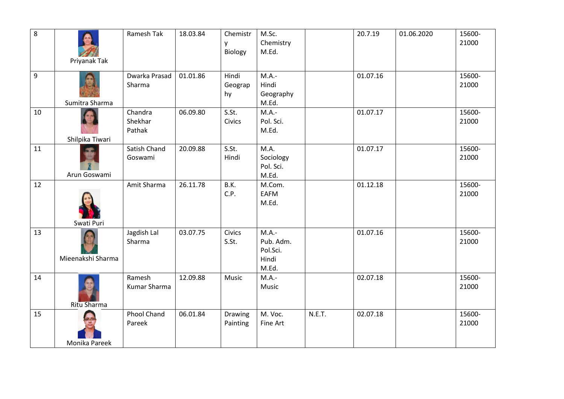| $\overline{8}$ | Priyanak Tak      | Ramesh Tak                   | 18.03.84 | Chemistr<br>y<br>Biology   | M.Sc.<br>Chemistry<br>M.Ed.                        |        | 20.7.19  | 01.06.2020 | 15600-<br>21000 |
|----------------|-------------------|------------------------------|----------|----------------------------|----------------------------------------------------|--------|----------|------------|-----------------|
| 9              | Sumitra Sharma    | Dwarka Prasad<br>Sharma      | 01.01.86 | Hindi<br>Geograp<br>hy     | M.A.-<br>Hindi<br>Geography<br>M.Ed.               |        | 01.07.16 |            | 15600-<br>21000 |
| 10             | Shilpika Tiwari   | Chandra<br>Shekhar<br>Pathak | 06.09.80 | S.St.<br>Civics            | M.A.-<br>Pol. Sci.<br>M.Ed.                        |        | 01.07.17 |            | 15600-<br>21000 |
| 11             | Arun Goswami      | Satish Chand<br>Goswami      | 20.09.88 | S.St.<br>Hindi             | M.A.<br>Sociology<br>Pol. Sci.<br>M.Ed.            |        | 01.07.17 |            | 15600-<br>21000 |
| 12             | Swati Puri        | Amit Sharma                  | 26.11.78 | B.K.<br>C.P.               | M.Com.<br>EAFM<br>M.Ed.                            |        | 01.12.18 |            | 15600-<br>21000 |
| 13             | Mieenakshi Sharma | Jagdish Lal<br>Sharma        | 03.07.75 | Civics<br>S.St.            | $M.A.-$<br>Pub. Adm.<br>Pol.Sci.<br>Hindi<br>M.Ed. |        | 01.07.16 |            | 15600-<br>21000 |
| 14             | Ritu Sharma       | Ramesh<br>Kumar Sharma       | 12.09.88 | Music                      | M.A.-<br>Music                                     |        | 02.07.18 |            | 15600-<br>21000 |
| 15             | Monika Pareek     | <b>Phool Chand</b><br>Pareek | 06.01.84 | <b>Drawing</b><br>Painting | M. Voc.<br>Fine Art                                | N.E.T. | 02.07.18 |            | 15600-<br>21000 |